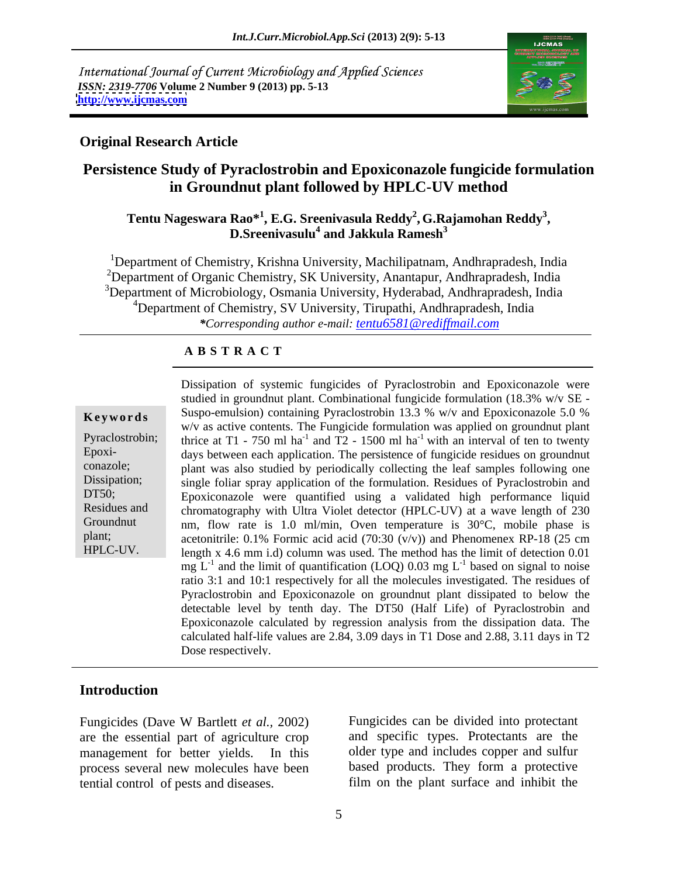International Journal of Current Microbiology and Applied Sciences *ISSN: 2319-7706* **Volume 2 Number 9 (2013) pp. 5-13 <http://www.ijcmas.com>**



### **Original Research Article**

## **Persistence Study of Pyraclostrobin and Epoxiconazole fungicide formulation in Groundnut plant followed by HPLC-UV method**

### $\mathbf{Tentu}$  Nageswara Rao $^{*1}$ , E.G. Sreenivasula Reddy<sup>2</sup>, G.Rajamohan Reddy<sup>3</sup>, D.Sreenivasulu<sup>4</sup> and Jakkula Ramesh<sup>3</sup>  **and Jakkula Ramesh<sup>3</sup>**

<sup>1</sup>Department of Chemistry, Krishna University, Machilipatnam, Andhrapradesh, India <sup>2</sup>Department of Organic Chemistry, SK University, Anantapur, Andhrapradesh, India <sup>3</sup>Department of Microbiology, Osmania University, Hyderabad, Andhrapradesh, India <sup>4</sup>Department of Chemistry, SV University, Tirupathi, Andhrapradesh, India *\*Corresponding author e-mail: tentu6581@rediffmail.com*

### **A B S T R A C T**

**Keywords** Suspo-emulsion) containing Pyraclostrobin 13.3 % w/v and Epoxiconazole 5.0 % Pyraclostrobin; thrice at T1 - 750 ml ha<sup>-1</sup> and T2 - 1500 ml ha<sup>-1</sup> with an interval of ten to twenty Epoxi- days between each application. The persistence of fungicide residues on groundnut conazole; plant was also studied by periodically collecting the leaf samples following one Dissipation; single foliar spray application of the formulation. Residues of Pyraclostrobin and DT50; Epoxiconazole were quantified using a validated high performance liquid Residues and chromatography with Ultra Violet detector (HPLC-UV) at a wave length of 230 Groundnut nm, flow rate is 1.0 ml/min, Oven temperature is 30°C, mobile phase is plant; acetonitrile: 0.1% Formic acid acid (70:30 (v/v)) and Phenomenex RP-18 (25 cm Dissipation of systemic fungicides of Pyraclostrobin and Epoxiconazole were<br>studied in groundnut plant. Combinational fungicide formulation (18.3% w/v as  $W \times 8$  scave-emulation) containing Pyraclostrobin 13.3 % w/v and E studied in groundnut plant. Combinational fungicide formulation (18.3% w/v SE  $w/v$  as active contents. The Fungicide formulation was applied on groundnut plant length x 4.6 mm i.d) column was used. The method has the limit of detection 0.01  $mg L<sup>-1</sup>$  and the limit of quantification (LOQ) 0.03 mg  $L<sup>-1</sup>$  based on signal to noise based on signal to noise ratio 3:1 and 10:1 respectively for all the molecules investigated. The residues of Pyraclostrobin and Epoxiconazole on groundnut plant dissipated to below the detectable level by tenth day. The DT50 (Half Life) of Pyraclostrobin and Epoxiconazole calculated by regression analysis from the dissipation data. The calculated half-life values are 2.84, 3.09 days in T1 Dose and 2.88, 3.11 days in T2 Dose respectively.

### **Introduction**

process several new molecules have been tential control of pests and diseases. film on the plant surface and inhibit the

Fungicides (Dave W Bartlett *et al.,* 2002) are the essential part of agriculture crop and specific types. Protectants are the management for better yields. In this older type and includes copper and sulfur Fungicides can be divided into protectant based products. They form a protective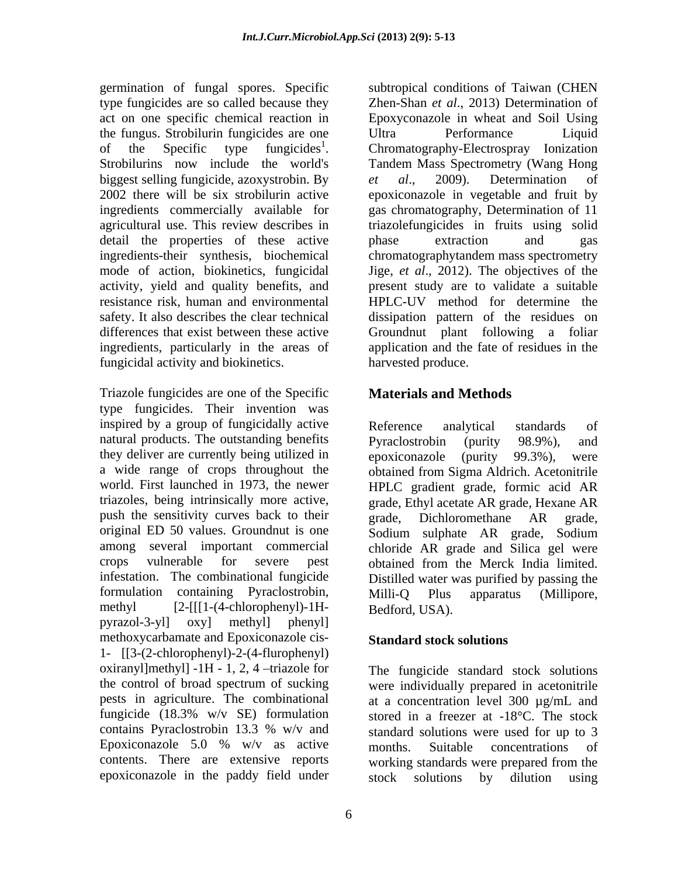the fungus. Strobilurin fungicides are one biggest selling fungicide, azoxystrobin. By et al., 2009). Determination of agricultural use. This review describes in detail the properties of these active bhase extraction and gas differences that exist between these active Groundnut plant following a foliar fungicidal activity and biokinetics.

Triazole fungicides are one of the Specific type fungicides. Their invention was inspired by a group of fungicidally active natural products. The outstanding benefits Pyraclostrobin (purity 98.9%), and they deliver are currently being utilized in epoxiconazole (purity 99.3%), were a wide range of crops throughout the push the sensitivity curves back to their grade, Dichloromethane AR grade, infestation. The combinational fungicide formulation containing Pyraclostrobin, Milli-Q Plus apparatus (Millipore, methyl [2-[[[1-(4-chlorophenyl)-1H pyrazol-3-yl] oxy] methyl] phenyl] methoxycarbamate and Epoxiconazole cis- 1- [[3-(2-chlorophenyl)-2-(4-flurophenyl) oxiranyl]methyl]  $-1H - 1$ , 2, 4 -triazole for the control of broad spectrum of sucking were individually prepared in acetonitrile pests in agriculture. The combinational at a concentration level 300 µg/mL and fungicide (18.3% w/v SE) formulation stored in a freezer at -18°C. The stock contains Pyraclostrobin 13.3 % w/v and standard solutions were used for up to 3 Epoxiconazole 5.0 %  $w/v$  as active months. Suitable concentrations of contents. There are extensive reports working standards were prepared from the

germination of fungal spores. Specific subtropical conditions of Taiwan (CHEN type fungicides are so called because they Zhen-Shan *et al*., 2013) Determination of act on one specific chemical reaction in Epoxyconazole in wheat and Soil Using of the Specific type fungicides 1 Chromatography-Electrospray Ionization of the Specific type fungicides<sup>1</sup>. Chromatography-Electrospray Ionization<br>Strobilurins now include the world's Tandem-Mass-Spectrometry-(Wang-Hong-2002 there will be six strobilurin active epoxiconazole in vegetable and fruit by ingredients commercially available for gas chromatography, Determination of 11 ingredients-their synthesis, biochemical chromatographytandem mass spectrometry mode of action, biokinetics, fungicidal Jige, *et al*., 2012). The objectives of the activity, yield and quality benefits, and present study are to validate a suitable resistance risk, human and environmental HPLC-UV method for determine the safety. It also describes the clear technical dissipation pattern of the residues on ingredients, particularly in the areas of application and the fate of residues in the Ultra Performance Liquid Tandem Mass Spectrometry (Wang Hong *et al*., 2009). Determination of triazolefungicides in fruits using solid phase extraction and gas Groundnut plant following harvested produce.

## **Materials and Methods**

world. First launched in 1973, the newer HPLC gradient grade, formic acid AR triazoles, being intrinsically more active, grade, Ethyl acetate AR grade, Hexane AR original ED 50 values. Groundnut is one Sodium sulphate AR grade, Sodium among several important commercial chloride AR grade and Silica gel were crops vulnerable for severe pest obtained from the Merck India limited. Reference analytical standards of Pyraclostrobin (purity 98.9%), and epoxiconazole (purity 99.3%), were obtained from Sigma Aldrich. Acetonitrile grade, Dichloromethane AR grade, Distilled water was purified by passing the Milli-Q Plus apparatus (Millipore, Bedford, USA).

### **Standard stock solutions**

epoxiconazole in the paddy field under stock solutions by dilution using The fungicide standard stock solutions months. Suitable concentrations of working standards were prepared from the stock solutions by dilution using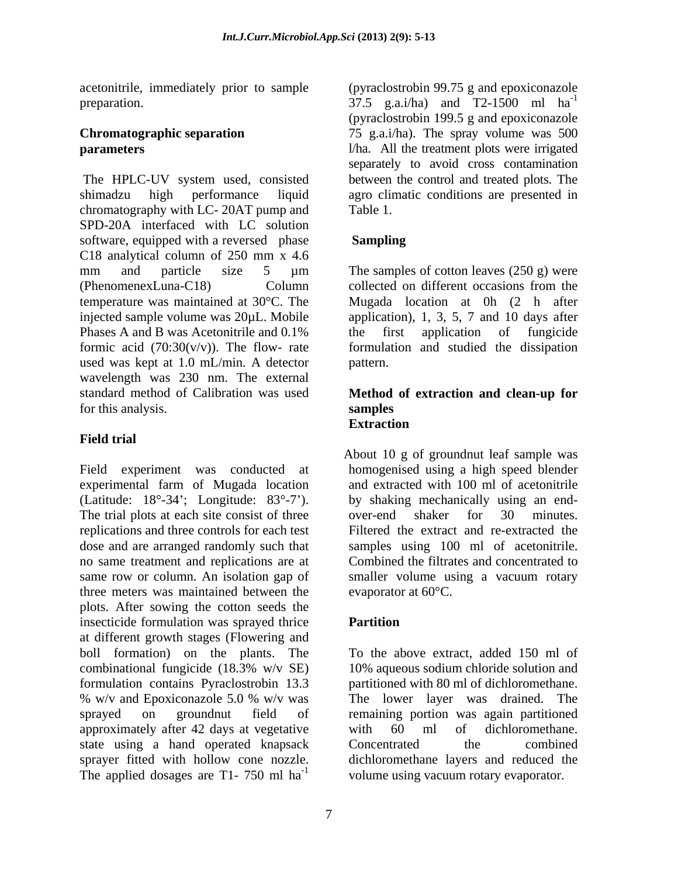acetonitrile, immediately prior to sample

shimadzu high performance liquid agro climatic conditions are presented in chromatography with LC- 20AT pump and Table 1. SPD-20A interfaced with LC solution software, equipped with a reversed phase **Sampling** C18 analytical column of 250 mm x 4.6 mm and particle size 5 µm The samples of cotton leaves (250 g) were (PhenomenexLuna-C18) Column temperature was maintained at 30°C. The Mugada location at 0h (2 h after injected sample volume was 20µL. Mobile application), 1, 3, 5, 7 and 10 days after Phases A and B was Acetonitrile and 0.1% the first application of fungicide formic acid (70:30(v/v)). The flow- rate formulation and studied the dissipation used was kept at 1.0 mL/min. A detector wavelength was 230 nm. The external standard method of Calibration was used **Method of extraction and clean-up for** for this analysis. Samples

### **Field trial**

experimental farm of Mugada location The trial plots at each site consist of three over-end shaker for 30 minutes. replications and three controls for each test Filtered the extract and re-extracted the dose and are arranged randomly such that no same treatment and replications are at three meters was maintained between the plots. After sowing the cotton seeds the insecticide formulation was sprayed thrice **Partition** at different growth stages (Flowering and boll formation) on the plants. The To the above extract, added 150 ml of combinational fungicide (18.3% w/v SE) formulation contains Pyraclostrobin 13.3 % w/v and Epoxiconazole 5.0 % w/v was The lower layer was drained. The sprayed on groundnut field of remaining portion was again partitioned approximately after 42 days at vegetative with 60 ml of dichloromethane. state using a hand operated knapsack Concentrated the combined sprayer fitted with hollow cone nozzle. dichloromethane layers and reduced the The applied dosages are T1- 750 ml  $ha^{-1}$  volume using vacuum rotary evaporator.

preparation.  $37.5$  g.a.i/ha) and T2-1500 ml ha<sup>-1</sup> **Chromatographic separation**  75 g.a.i/ha). The spray volume was 500 **parameters** and **parameters** and **l**/ha. All the treatment plots were irrigated The HPLC-UV system used, consisted between the control and treated plots. The (pyraclostrobin 99.75 g and epoxiconazole -1 (pyraclostrobin 199.5 g and epoxiconazole separately to avoid cross contamination Table 1.

### **Sampling**

The samples of cotton leaves  $(250 \text{ g})$  were collected on different occasions from the the first application of fungicide pattern.

# **samples Extraction**

Field experiment was conducted at homogenised using a high speed blender (Latitude: 18°-34 ; Longitude: 83°-7 ). by shaking mechanically using an end same row or column. An isolation gap of smaller volume using a vacuum rotary About 10 g of groundnut leaf sample was and extracted with 100 ml of acetonitrile over-end shaker for <sup>30</sup> minutes. Filtered the extract and re-extracted the samples using 100 ml of acetonitrile. Combined the filtrates and concentrated to evaporator at 60°C.

### **Partition**

10% aqueous sodium chloride solution and partitioned with 80 ml of dichloromethane. The lower layer was drained. The with 60 ml of dichloromethane. Concentrated the combined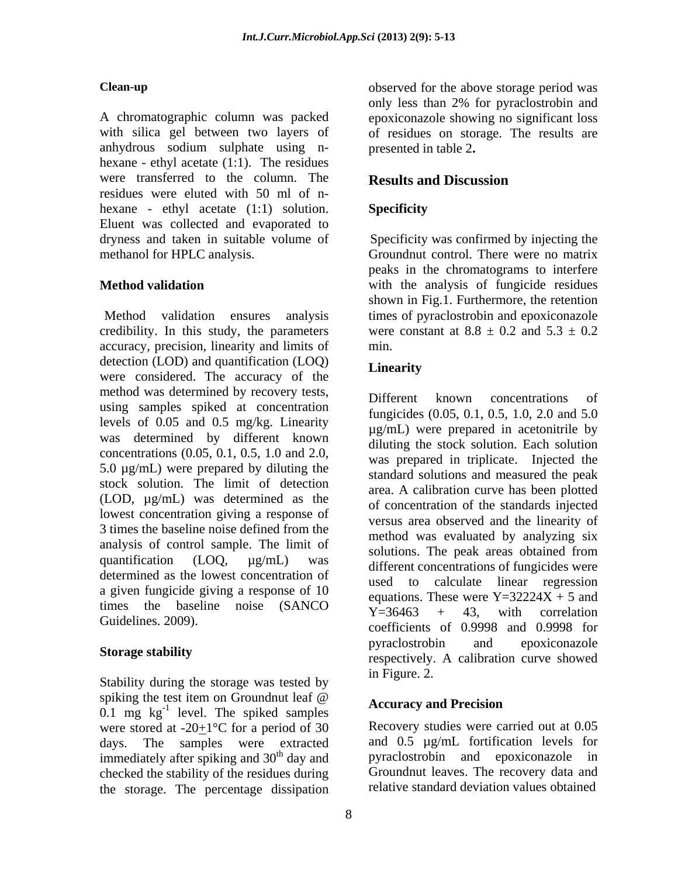A chromatographic column was packed epoxiconazole showing no significant loss with silica gel between two layers of of residues on storage. The results are anhydrous sodium sulphate using n hexane - ethyl acetate (1:1). The residues were transferred to the column. The **Results and Discussion** residues were eluted with 50 ml of n hexane - ethyl acetate (1:1) solution. Specificity Eluent was collected and evaporated to dryness and taken in suitable volume of methanol for HPLC analysis. Groundnut control. There were no matrix

credibility. In this study, the parameters accuracy, precision, linearity and limits of detection (LOD) and quantification (LOQ) Linearity were considered. The accuracy of the method was determined by recovery tests,<br>
Different known concentrations of using samples spiked at concentration levels of 0.05 and 0.5 mg/kg. Linearity was determined by different known concentrations (0.05, 0.1, 0.5, 1.0 and 2.0, 5.0  $\mu$ g/mL) were prepared by diluting the stock solution. The limit of detection (LOD, µg/mL) was determined as the lowest concentration giving a response of 3 times the baseline noise defined from the analysis of control sample. The limit of solutions. The peak areas obtained from quantification  $(LOQ, \mu g/mL)$  was different concentrations of fungicides were determined as the lowest concentration of a given fungicide giving a response of 10 times the baseline noise (SANCO  $Y=36463 + 43$ , with correlation

Stability during the storage was tested by in Figure. 2. spiking the test item on Groundnut leaf  $\omega$  $0.1$  mg  $\text{kg}^{-1}$  level. The spiked samples were stored at  $-20+1$ °C for a period of 30 days. The samples were extracted immediately after spiking and 30<sup>th</sup> day and checked the stability of the residues during the storage. The percentage dissipation

**Clean-up** observed for the above storage period was only less than 2% for pyraclostrobin and presented in table 2**.**

### **Results and Discussion**

### **Specificity**

**Method validation** with the analysis of fungicide residues Method validation ensures analysis times of pyraclostrobin and epoxiconazole Specificity was confirmed by injecting the peaks in the chromatograms to interfere shown in Fig.1. Furthermore, the retention were constant at  $8.8 \pm 0.2$  and  $5.3 \pm 0.2$ min.

### **Linearity**

Guidelines. 2009). The contract of 0.9998 and 0.9998 for **Storage stability**<br>
respectively. A calibration curve showed Different known concentrations of fungicides (0.05, 0.1, 0.5, 1.0, 2.0 and 5.0 µg/mL) were prepared in acetonitrile by diluting the stock solution. Each solution was prepared in triplicate. Injected the standard solutions and measured the peak area. A calibration curve has been plotted of concentration of the standards injected versus area observed and the linearity of method was evaluated by analyzing six solutions. The peak areas obtained from used to calculate linear regression equations. These were  $Y=32224X + 5$  and  $Y=36463 + 43$ , with correlation pyraclostrobin and epoxiconazole in Figure. 2.

### **Accuracy and Precision**

<sup>th</sup> day and pyraclostrobin and epoxiconazole in Recovery studies were carried out at 0.05 and 0.5 µg/mL fortification levels for Groundnut leaves. The recovery data and relative standard deviation values obtained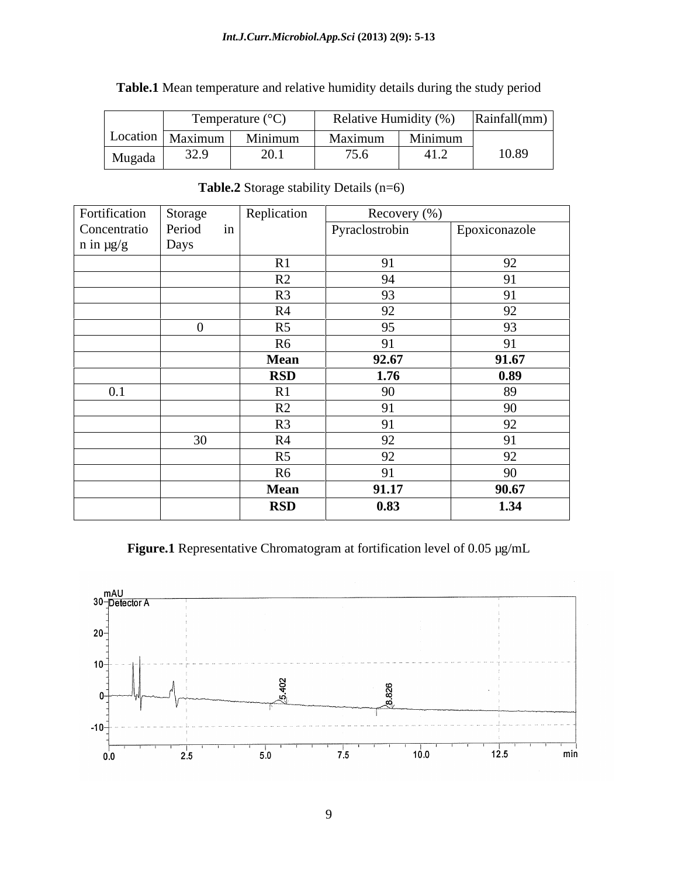### *Int.J.Curr.Microbiol.App.Sci* **(2013) 2(9): 5-13**

| Temperature $({}^{\circ}C)$                                  |         | Relative Humidity (%) | Rainfall(mm) |
|--------------------------------------------------------------|---------|-----------------------|--------------|
| Location   Maximum                                           | Minimum | Minimum<br>Maximum    |              |
| 220<br>$\bigcap$ 1<br>Mugada<br>$J\Delta$ .)<br>$\angle 0.1$ |         | 75.6                  | 10.89        |

**Table.1** Mean temperature and relative humidity details during the study period

| Fortification    | Storage |    | Replication | Recovery (%)   |               |
|------------------|---------|----|-------------|----------------|---------------|
| Concentratio     | Period  | in |             | Pyraclostrobin | Epoxiconazole |
| $n$ in $\mu$ g/g | Days    |    |             |                |               |
|                  |         |    | R1          | 91             | 92            |
|                  |         |    | R2          | 94             | 91            |
|                  |         |    | R3          | 93             | 91            |
|                  |         |    | R4          | 92             | 92            |
|                  |         |    | R5          | 95             | 93            |
|                  |         |    | R6          | 91             | 91            |
|                  |         |    | <b>Mean</b> | 92.67          | 91.67         |
|                  |         |    | <b>RSD</b>  | 1.76           | 0.89          |
| 0.1              |         |    | R1          | 90             | 89            |
|                  |         |    | R2          | 91             | 90            |
|                  |         |    | R3          | 91             | 92            |
|                  | 30      |    | R4          | 92             | 91            |
|                  |         |    | R5          | 92             | 92            |
|                  |         |    | <b>R6</b>   | 91             | 90            |
|                  |         |    | <b>Mean</b> | 91.17          | 90.67         |
|                  |         |    | <b>RSD</b>  | 0.83           | 1.34          |

### Table.2 Storage stability Details (n=6)

**Figure.1** Representative Chromatogram at fortification level of 0.05 µg/mL

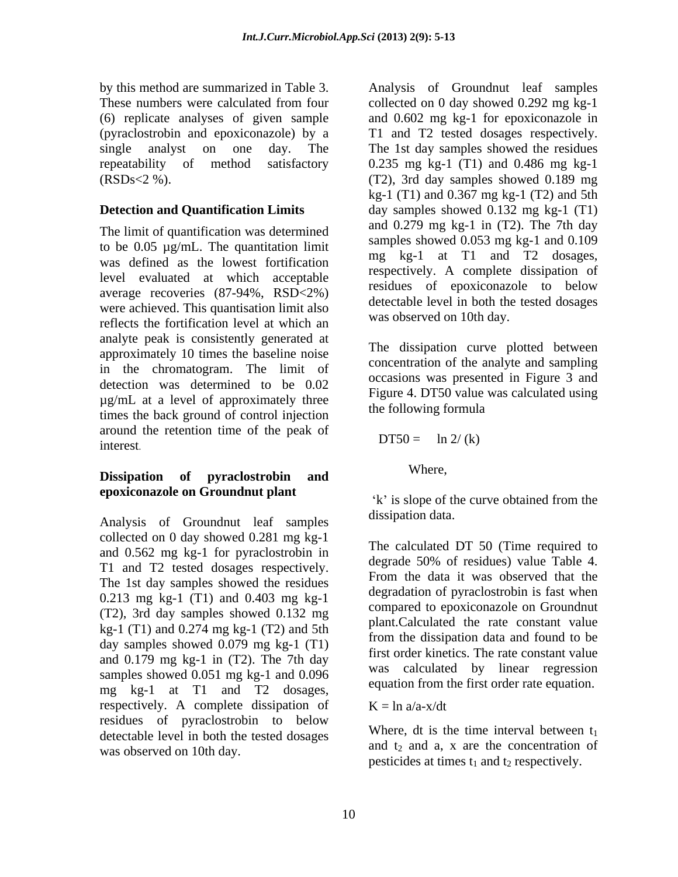The limit of quantification was determined to be 0.05 µg/mL. The quantitation limit was defined as the lowest fortification level evaluated at which acceptable average recoveries (87-94%, RSD<2%) were achieved. This quantisation limit also reflects the fortification level at which an analyte peak is consistently generated at approximately 10 times the baseline noise in the chromatogram. The limit of detection was determined to be 0.02  $\mu$ g/mL at a level of approximately three right at D150 value times the back ground of control injection around the retention time of the peak of interest.

# **Dissipation of pyraclostrobin and epoxiconazole on Groundnut plant**  $\kappa$  is slope of the curve obtained from the

Analysis of Groundnut leaf samples collected on 0 day showed 0.281 mg kg-1 and 0.562 mg kg-1 for pyraclostrobin in T1 and T2 tested dosages respectively. The 1st day samples showed the residues 0.213 mg kg-1 (T1) and 0.403 mg kg-1 (T2), 3rd day samples showed 0.132 mg kg-1 (T1) and 0.274 mg kg-1 (T2) and 5th day samples showed 0.079 mg kg-1 (T1) and  $0.179$  mg kg-1 in  $(T2)$ . The 7th day samples showed 0.051 mg kg-1 and 0.096 mg kg-1 at T1 and T2 dosages, respectively. A complete dissipation of  $K = \ln a/a - x/dt$ residues of pyraclostrobin to below detectable level in both the tested dosages was observed on 10th day.

by this method are summarized in Table 3. Analysis of Groundnut leaf samples These numbers were calculated from four collected on 0 day showed 0.292 mg kg-1 (6) replicate analyses of given sample and 0.602 mg kg-1 for epoxiconazole in (pyraclostrobin and epoxiconazole) by a T1 and T2 tested dosages respectively. single analyst on one day. The The 1st day samples showed the residues repeatability of method satisfactory 0.235 mg kg-1 (T1) and 0.486 mg kg-1 (RSDs<2 %). (T2), 3rd day samples showed 0.189 mg **Detection and Quantification Limits** day samples showed 0.132 mg kg-1 (T1) kg-1 (T1) and 0.367 mg kg-1 (T2) and 5th and  $0.279$  mg kg-1 in  $(T2)$ . The 7th day samples showed 0.053 mg kg-1 and 0.109 mg kg-1 at T1 and T2 dosages, respectively. A complete dissipation of residues of epoxiconazole to below detectable level in both the tested dosages was observed on 10th day.

> The dissipation curve plotted between concentration of the analyte and sampling occasions was presented in Figure 3 and Figure 4. DT50 value was calculated using the following formula

$$
DT50 = \ln 2/(k)
$$

Where,

k' is slope of the curve obtained from the dissipation data.

The calculated DT 50 (Time required to degrade 50% of residues) value Table 4. From the data it was observed that the degradation of pyraclostrobin is fast when compared to epoxiconazole on Groundnut plant.Calculated the rate constant value from the dissipation data and found to be first order kinetics. The rate constant value was calculated by linear regression equation from the first order rate equation.

 $K = \ln a/a - x/dt$ 

Where, dt is the time interval between  $t_1$ and  $t_2$  and a, x are the concentration of pesticides at times  $t_1$  and  $t_2$  respectively.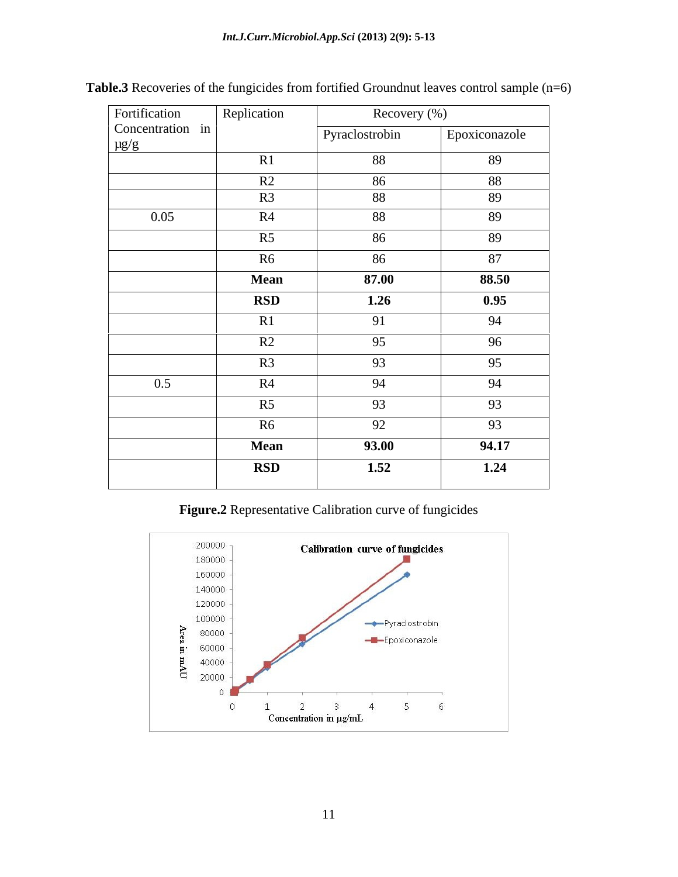| Fortification                 | Replication | Recovery (%)   |               |  |
|-------------------------------|-------------|----------------|---------------|--|
| Concentration in<br>$\mu g/g$ |             | Pyraclostrobin | Epoxiconazole |  |
|                               | R1          | 88             | 89            |  |
|                               | R2          | 86             | 88            |  |
|                               | R3          | 88             | 89            |  |
| 0.05                          | R4          | 88             | 89            |  |
|                               | R5          | 86             | 89            |  |
|                               | R6          | 86             | 87            |  |
|                               | <b>Mean</b> | 87.00          | 88.50         |  |
|                               | <b>RSD</b>  | 1.26           | 0.95          |  |
|                               | R1          | 91             | 94            |  |
|                               | R2          | 95             | 96            |  |
|                               | R3          | 93             | 95            |  |
| 0.5                           | R4          | 94             | 94            |  |
|                               | R5          | 93             | 93            |  |
|                               |             |                |               |  |
|                               | R6          | 92             | 93            |  |
|                               | <b>Mean</b> | 93.00          | 94.17         |  |
|                               | <b>RSD</b>  | 1.52           | 1.24          |  |
|                               |             |                |               |  |

Table.3 Recoveries of the fungicides from fortified Groundnut leaves control sample (n=6)

### **Figure.2** Representative Calibration curve of fungicides

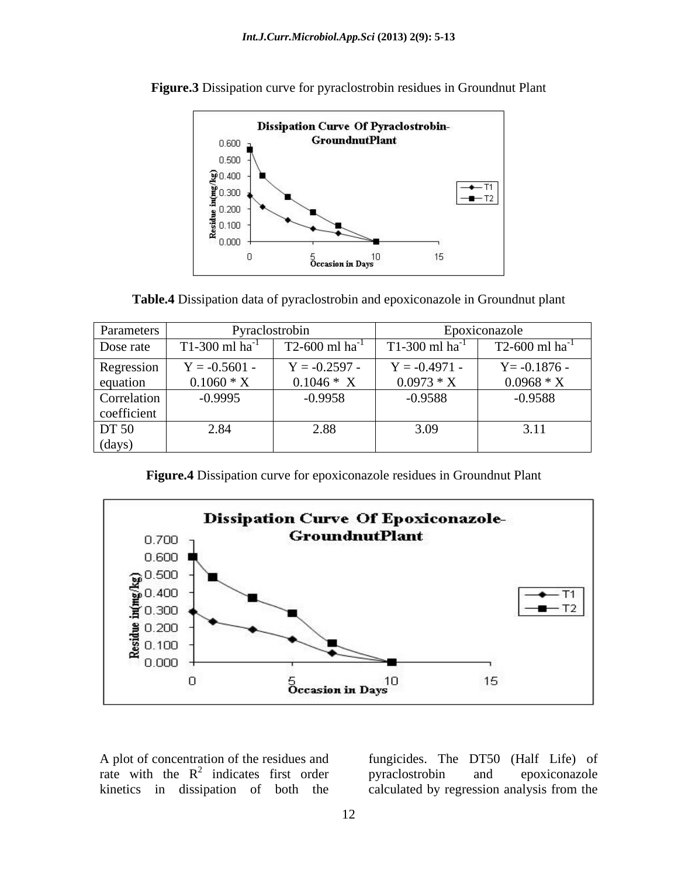

**Figure.3** Dissipation curve for pyraclostrobin residues in Groundnut Plant



| Parameters                                      |                 | Pyraclostrobin  |                              | Epoxiconazole       |
|-------------------------------------------------|-----------------|-----------------|------------------------------|---------------------|
| Dose rate                                       | T1-300 ml ha    | T2-600 ml ha    | $T1-300$ ml ha <sup>-1</sup> | $T2-600$ ml ha      |
| Regression                                      | $Y = -0.5601 -$ | $Y = -0.2597 -$ | $V = -0.4971 -$              | $Y = -0.1876$       |
|                                                 | $0.1060 * X$    | $0.1046 * X$    | $0.0973 * X$                 | $0.0968 * X$        |
|                                                 | $-0.9995$       | $-0.9958$       | $-0.9588$                    | $-0.9588$           |
|                                                 |                 |                 |                              |                     |
| equation<br>Correlation<br>coefficient<br>DT 50 | 2.84            | 2.88            | 3.09                         | $\bigcap$ 1<br>3.11 |
| (days)                                          |                 |                 |                              |                     |

 **Figure.4** Dissipation curve for epoxiconazole residues in Groundnut Plant



A plot of concentration of the residues and

rate with the  $R^2$  indicates first order pyraclostrobin and epoxiconazole kinetics in dissipation of both the calculated by regression analysis from thefungicides. The DT50 (Half Life) of pyraclostrobin and epoxiconazole